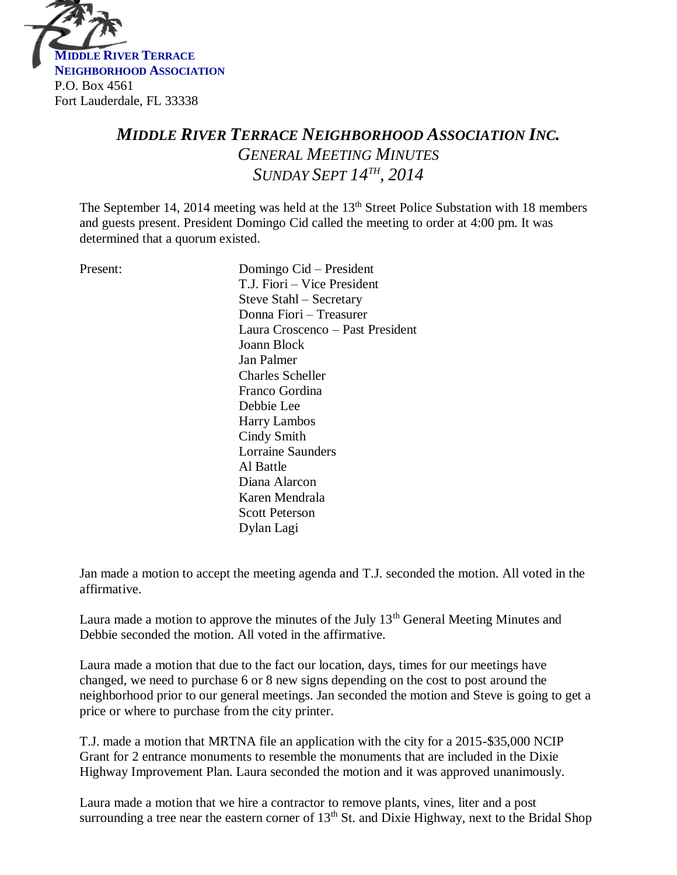

# *MIDDLE RIVER TERRACE NEIGHBORHOOD ASSOCIATION INC. GENERAL MEETING MINUTES SUNDAY SEPT 14 TH , 2014*

The September 14, 2014 meeting was held at the 13<sup>th</sup> Street Police Substation with 18 members and guests present. President Domingo Cid called the meeting to order at 4:00 pm. It was determined that a quorum existed.

Present: Domingo Cid – President T.J. Fiori – Vice President Steve Stahl – Secretary Donna Fiori – Treasurer Laura Croscenco – Past President Joann Block Jan Palmer Charles Scheller Franco Gordina Debbie Lee Harry Lambos Cindy Smith Lorraine Saunders Al Battle Diana Alarcon Karen Mendrala Scott Peterson Dylan Lagi

Jan made a motion to accept the meeting agenda and T.J. seconded the motion. All voted in the affirmative.

Laura made a motion to approve the minutes of the July  $13<sup>th</sup>$  General Meeting Minutes and Debbie seconded the motion. All voted in the affirmative.

Laura made a motion that due to the fact our location, days, times for our meetings have changed, we need to purchase 6 or 8 new signs depending on the cost to post around the neighborhood prior to our general meetings. Jan seconded the motion and Steve is going to get a price or where to purchase from the city printer.

T.J. made a motion that MRTNA file an application with the city for a 2015-\$35,000 NCIP Grant for 2 entrance monuments to resemble the monuments that are included in the Dixie Highway Improvement Plan. Laura seconded the motion and it was approved unanimously.

Laura made a motion that we hire a contractor to remove plants, vines, liter and a post surrounding a tree near the eastern corner of  $13<sup>th</sup>$  St. and Dixie Highway, next to the Bridal Shop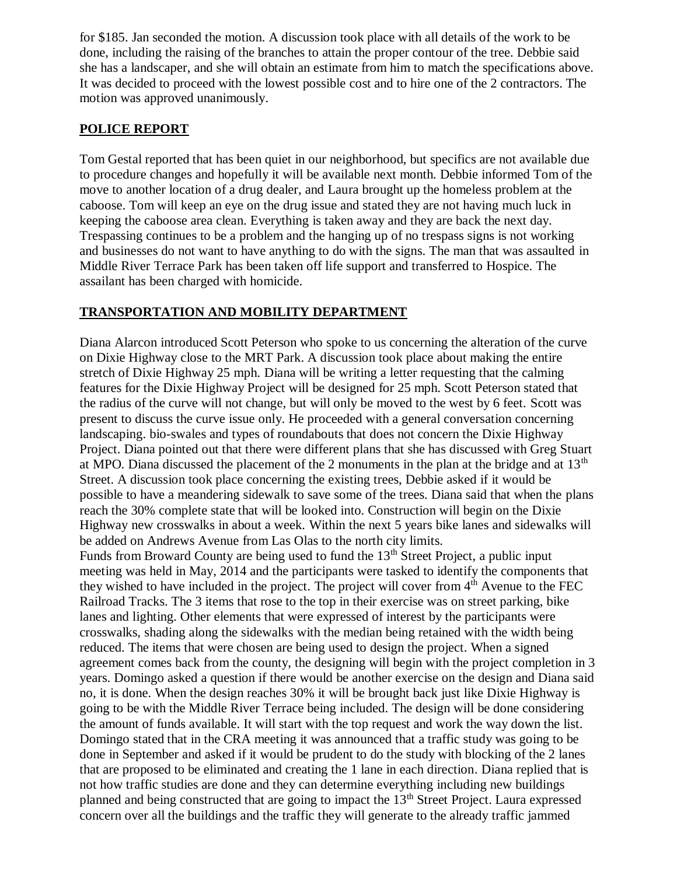for \$185. Jan seconded the motion. A discussion took place with all details of the work to be done, including the raising of the branches to attain the proper contour of the tree. Debbie said she has a landscaper, and she will obtain an estimate from him to match the specifications above. It was decided to proceed with the lowest possible cost and to hire one of the 2 contractors. The motion was approved unanimously.

#### **POLICE REPORT**

Tom Gestal reported that has been quiet in our neighborhood, but specifics are not available due to procedure changes and hopefully it will be available next month. Debbie informed Tom of the move to another location of a drug dealer, and Laura brought up the homeless problem at the caboose. Tom will keep an eye on the drug issue and stated they are not having much luck in keeping the caboose area clean. Everything is taken away and they are back the next day. Trespassing continues to be a problem and the hanging up of no trespass signs is not working and businesses do not want to have anything to do with the signs. The man that was assaulted in Middle River Terrace Park has been taken off life support and transferred to Hospice. The assailant has been charged with homicide.

#### **TRANSPORTATION AND MOBILITY DEPARTMENT**

Diana Alarcon introduced Scott Peterson who spoke to us concerning the alteration of the curve on Dixie Highway close to the MRT Park. A discussion took place about making the entire stretch of Dixie Highway 25 mph. Diana will be writing a letter requesting that the calming features for the Dixie Highway Project will be designed for 25 mph. Scott Peterson stated that the radius of the curve will not change, but will only be moved to the west by 6 feet. Scott was present to discuss the curve issue only. He proceeded with a general conversation concerning landscaping. bio-swales and types of roundabouts that does not concern the Dixie Highway Project. Diana pointed out that there were different plans that she has discussed with Greg Stuart at MPO. Diana discussed the placement of the 2 monuments in the plan at the bridge and at  $13<sup>th</sup>$ Street. A discussion took place concerning the existing trees, Debbie asked if it would be possible to have a meandering sidewalk to save some of the trees. Diana said that when the plans reach the 30% complete state that will be looked into. Construction will begin on the Dixie Highway new crosswalks in about a week. Within the next 5 years bike lanes and sidewalks will be added on Andrews Avenue from Las Olas to the north city limits.

Funds from Broward County are being used to fund the  $13<sup>th</sup>$  Street Project, a public input meeting was held in May, 2014 and the participants were tasked to identify the components that they wished to have included in the project. The project will cover from 4<sup>th</sup> Avenue to the FEC Railroad Tracks. The 3 items that rose to the top in their exercise was on street parking, bike lanes and lighting. Other elements that were expressed of interest by the participants were crosswalks, shading along the sidewalks with the median being retained with the width being reduced. The items that were chosen are being used to design the project. When a signed agreement comes back from the county, the designing will begin with the project completion in 3 years. Domingo asked a question if there would be another exercise on the design and Diana said no, it is done. When the design reaches 30% it will be brought back just like Dixie Highway is going to be with the Middle River Terrace being included. The design will be done considering the amount of funds available. It will start with the top request and work the way down the list. Domingo stated that in the CRA meeting it was announced that a traffic study was going to be done in September and asked if it would be prudent to do the study with blocking of the 2 lanes that are proposed to be eliminated and creating the 1 lane in each direction. Diana replied that is not how traffic studies are done and they can determine everything including new buildings planned and being constructed that are going to impact the 13th Street Project. Laura expressed concern over all the buildings and the traffic they will generate to the already traffic jammed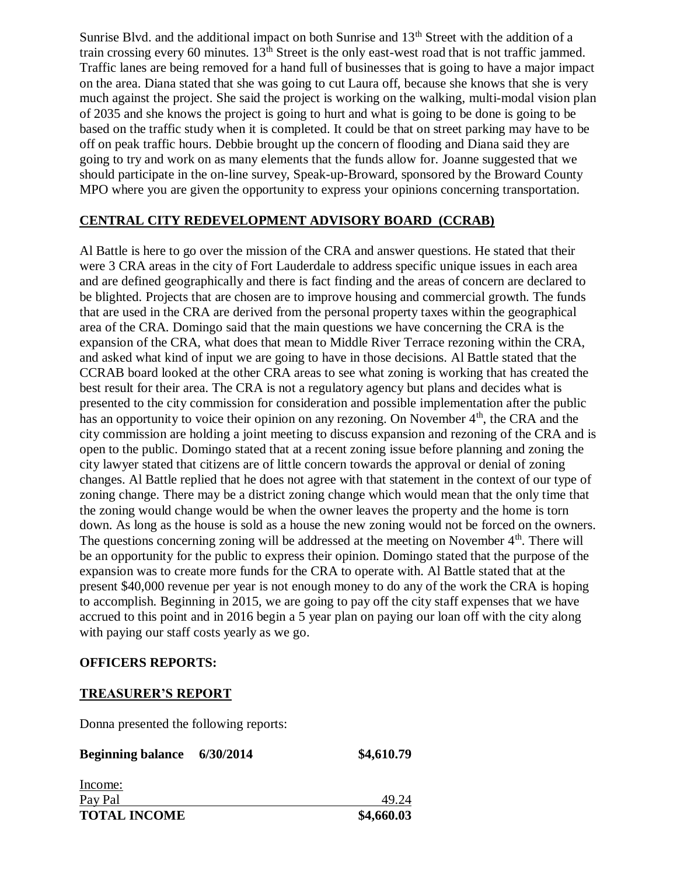Sunrise Blvd. and the additional impact on both Sunrise and 13<sup>th</sup> Street with the addition of a train crossing every 60 minutes.  $13^{\text{th}}$  Street is the only east-west road that is not traffic jammed. Traffic lanes are being removed for a hand full of businesses that is going to have a major impact on the area. Diana stated that she was going to cut Laura off, because she knows that she is very much against the project. She said the project is working on the walking, multi-modal vision plan of 2035 and she knows the project is going to hurt and what is going to be done is going to be based on the traffic study when it is completed. It could be that on street parking may have to be off on peak traffic hours. Debbie brought up the concern of flooding and Diana said they are going to try and work on as many elements that the funds allow for. Joanne suggested that we should participate in the on-line survey, Speak-up-Broward, sponsored by the Broward County MPO where you are given the opportunity to express your opinions concerning transportation.

#### **CENTRAL CITY REDEVELOPMENT ADVISORY BOARD (CCRAB)**

Al Battle is here to go over the mission of the CRA and answer questions. He stated that their were 3 CRA areas in the city of Fort Lauderdale to address specific unique issues in each area and are defined geographically and there is fact finding and the areas of concern are declared to be blighted. Projects that are chosen are to improve housing and commercial growth. The funds that are used in the CRA are derived from the personal property taxes within the geographical area of the CRA. Domingo said that the main questions we have concerning the CRA is the expansion of the CRA, what does that mean to Middle River Terrace rezoning within the CRA, and asked what kind of input we are going to have in those decisions. Al Battle stated that the CCRAB board looked at the other CRA areas to see what zoning is working that has created the best result for their area. The CRA is not a regulatory agency but plans and decides what is presented to the city commission for consideration and possible implementation after the public has an opportunity to voice their opinion on any rezoning. On November 4<sup>th</sup>, the CRA and the city commission are holding a joint meeting to discuss expansion and rezoning of the CRA and is open to the public. Domingo stated that at a recent zoning issue before planning and zoning the city lawyer stated that citizens are of little concern towards the approval or denial of zoning changes. Al Battle replied that he does not agree with that statement in the context of our type of zoning change. There may be a district zoning change which would mean that the only time that the zoning would change would be when the owner leaves the property and the home is torn down. As long as the house is sold as a house the new zoning would not be forced on the owners. The questions concerning zoning will be addressed at the meeting on November  $4<sup>th</sup>$ . There will be an opportunity for the public to express their opinion. Domingo stated that the purpose of the expansion was to create more funds for the CRA to operate with. Al Battle stated that at the present \$40,000 revenue per year is not enough money to do any of the work the CRA is hoping to accomplish. Beginning in 2015, we are going to pay off the city staff expenses that we have accrued to this point and in 2016 begin a 5 year plan on paying our loan off with the city along with paying our staff costs yearly as we go.

#### **OFFICERS REPORTS:**

#### **TREASURER'S REPORT**

Donna presented the following reports:

| <b>Beginning balance</b> 6/30/2014 | \$4,610.79 |
|------------------------------------|------------|
| Income:                            |            |
| Pay Pal                            | 49.24      |
| <b>TOTAL INCOME</b>                | \$4,660.03 |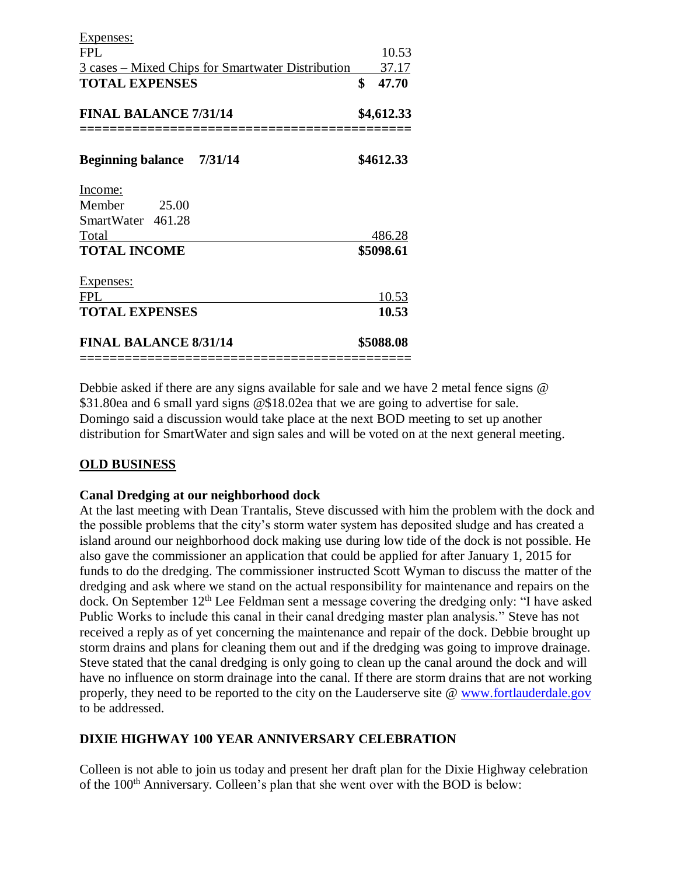| Expenses:                                                 |    |            |
|-----------------------------------------------------------|----|------------|
| <b>FPL</b>                                                |    | 10.53      |
| <u> 3 cases – Mixed Chips for Smartwater Distribution</u> |    | 37.17      |
| <b>TOTAL EXPENSES</b>                                     | \$ | 47.70      |
| <b>FINAL BALANCE 7/31/14</b>                              |    | \$4,612.33 |
| <b>Beginning balance</b> 7/31/14                          |    | \$4612.33  |
| Income:                                                   |    |            |
| Member<br>25.00                                           |    |            |
| SmartWater 461.28                                         |    |            |
| Total                                                     |    | 486.28     |
| <b>TOTAL INCOME</b>                                       |    | \$5098.61  |
| <b>Expenses:</b>                                          |    |            |
| <b>FPL</b>                                                |    | 10.53      |
| <b>TOTAL EXPENSES</b>                                     |    | 10.53      |
| <b>FINAL BALANCE 8/31/14</b>                              |    | \$5088.08  |
|                                                           |    |            |

Debbie asked if there are any signs available for sale and we have 2 metal fence signs @ \$31.80ea and 6 small yard signs @\$18.02ea that we are going to advertise for sale. Domingo said a discussion would take place at the next BOD meeting to set up another distribution for SmartWater and sign sales and will be voted on at the next general meeting.

#### **OLD BUSINESS**

#### **Canal Dredging at our neighborhood dock**

At the last meeting with Dean Trantalis, Steve discussed with him the problem with the dock and the possible problems that the city's storm water system has deposited sludge and has created a island around our neighborhood dock making use during low tide of the dock is not possible. He also gave the commissioner an application that could be applied for after January 1, 2015 for funds to do the dredging. The commissioner instructed Scott Wyman to discuss the matter of the dredging and ask where we stand on the actual responsibility for maintenance and repairs on the dock. On September 12th Lee Feldman sent a message covering the dredging only: "I have asked Public Works to include this canal in their canal dredging master plan analysis." Steve has not received a reply as of yet concerning the maintenance and repair of the dock. Debbie brought up storm drains and plans for cleaning them out and if the dredging was going to improve drainage. Steve stated that the canal dredging is only going to clean up the canal around the dock and will have no influence on storm drainage into the canal. If there are storm drains that are not working properly, they need to be reported to the city on the Lauderserve site @ [www.fortlauderdale.gov](http://www.fortlauderdale.gov/) to be addressed.

#### **DIXIE HIGHWAY 100 YEAR ANNIVERSARY CELEBRATION**

Colleen is not able to join us today and present her draft plan for the Dixie Highway celebration of the 100<sup>th</sup> Anniversary. Colleen's plan that she went over with the BOD is below: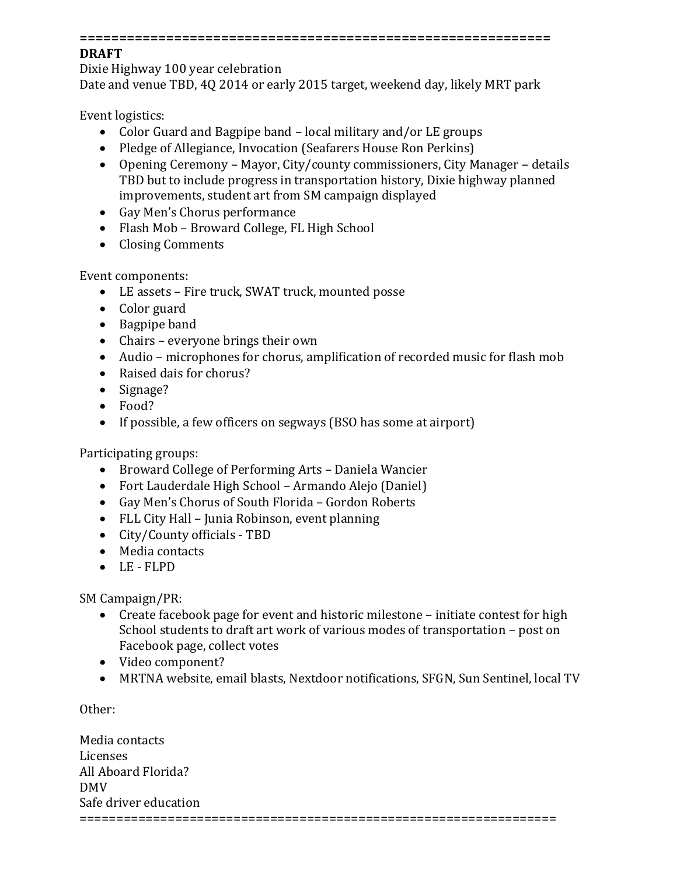#### **============================================================**

#### **DRAFT**

Dixie Highway 100 year celebration Date and venue TBD, 4Q 2014 or early 2015 target, weekend day, likely MRT park

Event logistics:

- Color Guard and Bagpipe band local military and/or LE groups
- Pledge of Allegiance, Invocation (Seafarers House Ron Perkins)
- Opening Ceremony Mayor, City/county commissioners, City Manager details TBD but to include progress in transportation history, Dixie highway planned improvements, student art from SM campaign displayed
- Gay Men's Chorus performance
- Flash Mob Broward College, FL High School
- Closing Comments

Event components:

- LE assets Fire truck, SWAT truck, mounted posse
- Color guard
- Bagpipe band
- Chairs everyone brings their own
- Audio microphones for chorus, amplification of recorded music for flash mob
- Raised dais for chorus?
- Signage?
- Food?
- If possible, a few officers on segways (BSO has some at airport)

Participating groups:

- Broward College of Performing Arts Daniela Wancier
- Fort Lauderdale High School Armando Alejo (Daniel)
- Gay Men's Chorus of South Florida Gordon Roberts
- FLL City Hall Junia Robinson, event planning
- City/County officials TBD
- Media contacts
- LE FLPD

SM Campaign/PR:

- Create facebook page for event and historic milestone initiate contest for high School students to draft art work of various modes of transportation – post on Facebook page, collect votes
- Video component?
- MRTNA website, email blasts, Nextdoor notifications, SFGN, Sun Sentinel, local TV

Other:

| Media contacts        |  |
|-----------------------|--|
| Licenses              |  |
| All Aboard Florida?   |  |
| <b>DMV</b>            |  |
| Safe driver education |  |
|                       |  |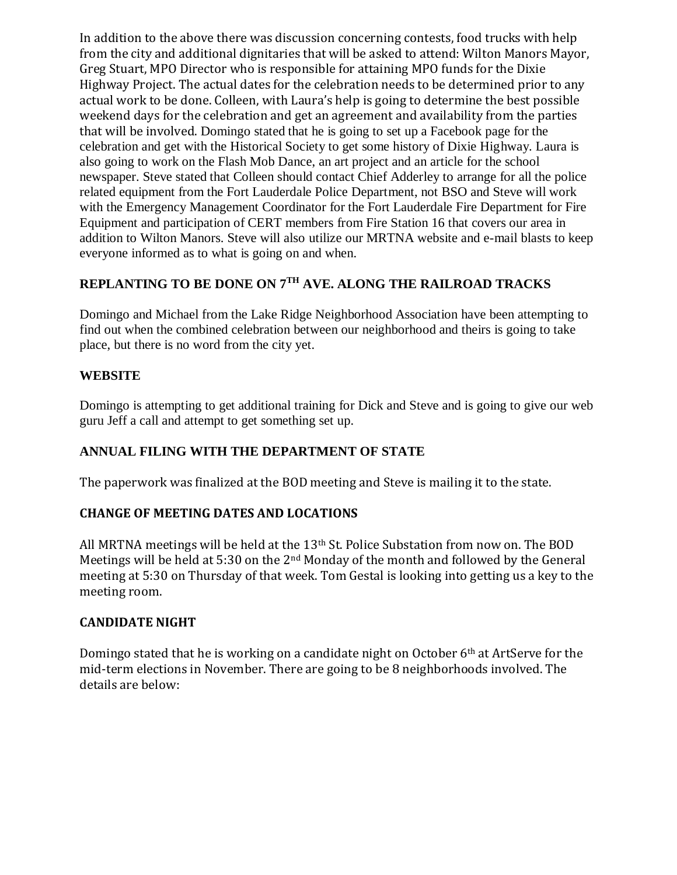In addition to the above there was discussion concerning contests, food trucks with help from the city and additional dignitaries that will be asked to attend: Wilton Manors Mayor, Greg Stuart, MPO Director who is responsible for attaining MPO funds for the Dixie Highway Project. The actual dates for the celebration needs to be determined prior to any actual work to be done. Colleen, with Laura's help is going to determine the best possible weekend days for the celebration and get an agreement and availability from the parties that will be involved. Domingo stated that he is going to set up a Facebook page for the celebration and get with the Historical Society to get some history of Dixie Highway. Laura is also going to work on the Flash Mob Dance, an art project and an article for the school newspaper. Steve stated that Colleen should contact Chief Adderley to arrange for all the police related equipment from the Fort Lauderdale Police Department, not BSO and Steve will work with the Emergency Management Coordinator for the Fort Lauderdale Fire Department for Fire Equipment and participation of CERT members from Fire Station 16 that covers our area in addition to Wilton Manors. Steve will also utilize our MRTNA website and e-mail blasts to keep everyone informed as to what is going on and when.

## **REPLANTING TO BE DONE ON 7TH AVE. ALONG THE RAILROAD TRACKS**

Domingo and Michael from the Lake Ridge Neighborhood Association have been attempting to find out when the combined celebration between our neighborhood and theirs is going to take place, but there is no word from the city yet.

#### **WEBSITE**

Domingo is attempting to get additional training for Dick and Steve and is going to give our web guru Jeff a call and attempt to get something set up.

#### **ANNUAL FILING WITH THE DEPARTMENT OF STATE**

The paperwork was finalized at the BOD meeting and Steve is mailing it to the state.

#### **CHANGE OF MEETING DATES AND LOCATIONS**

All MRTNA meetings will be held at the 13th St. Police Substation from now on. The BOD Meetings will be held at 5:30 on the 2nd Monday of the month and followed by the General meeting at 5:30 on Thursday of that week. Tom Gestal is looking into getting us a key to the meeting room.

#### **CANDIDATE NIGHT**

Domingo stated that he is working on a candidate night on October  $6<sup>th</sup>$  at ArtServe for the mid-term elections in November. There are going to be 8 neighborhoods involved. The details are below: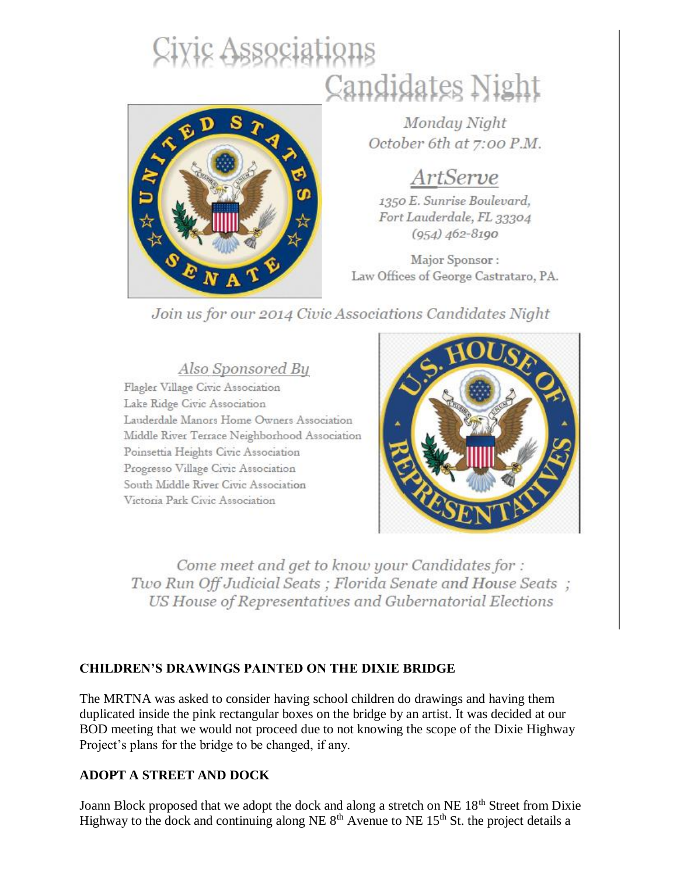# Civic Associations Candidates Night



Monday Night October 6th at 7:00 P.M.

# ArtServe

1350 E. Sunrise Boulevard, Fort Lauderdale, FL 33304  $(954)$   $462 - 8190$ 

Major Sponsor: Law Offices of George Castrataro, PA.

# Join us for our 2014 Civic Associations Candidates Night

Also Sponsored By

Flagler Village Civic Association Lake Ridge Civic Association Lauderdale Manors Home Owners Association Middle River Terrace Neighborhood Association Poinsettia Heights Civic Association Progresso Village Civic Association South Middle River Civic Association Victoria Park Civic Association



Come meet and get to know your Candidates for : Two Run Off Judicial Seats; Florida Senate and House Seats; US House of Representatives and Gubernatorial Elections

# **CHILDREN'S DRAWINGS PAINTED ON THE DIXIE BRIDGE**

The MRTNA was asked to consider having school children do drawings and having them duplicated inside the pink rectangular boxes on the bridge by an artist. It was decided at our BOD meeting that we would not proceed due to not knowing the scope of the Dixie Highway Project's plans for the bridge to be changed, if any.

## **ADOPT A STREET AND DOCK**

Joann Block proposed that we adopt the dock and along a stretch on NE 18<sup>th</sup> Street from Dixie Highway to the dock and continuing along NE  $8<sup>th</sup>$  Avenue to NE 15<sup>th</sup> St. the project details a